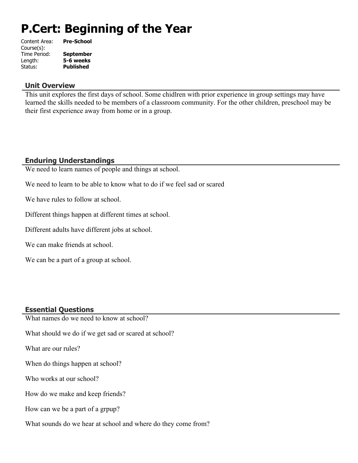# **P.Cert: Beginning of the Year**

| Content Area: | <b>Pre-School</b> |
|---------------|-------------------|
| Course(s):    |                   |
| Time Period:  | <b>September</b>  |
| Length:       | 5-6 weeks         |
| Status:       | <b>Published</b>  |
|               |                   |

#### **Unit Overview**

This unit explores the first days of school. Some chidlren with prior experience in group settings may have learned the skills needed to be members of a classroom community. For the other children, preschool may be their first experience away from home or in a group.

## **Enduring Understandings**

We need to learn names of people and things at school.

We need to learn to be able to know what to do if we feel sad or scared

We have rules to follow at school.

Different things happen at different times at school.

Different adults have different jobs at school.

We can make friends at school.

We can be a part of a group at school.

#### **Essential Questions**

What names do we need to know at school? What should we do if we get sad or scared at school? What are our rules? When do things happen at school? Who works at our school? How do we make and keep friends? How can we be a part of a grpup?

What sounds do we hear at school and where do they come from?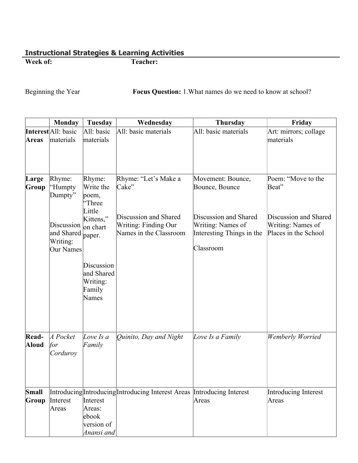## **Instructional Strategies & Learning Activities Week of:**

Beginning the Year **Focus Question:** 1. What names do we need to know at school?

|                | <b>Monday</b>                                                                     | Tuesday                                                                             | Wednesday                                                                                                       | <b>Thursday</b>                                                                                                             | Friday                                                                                            |
|----------------|-----------------------------------------------------------------------------------|-------------------------------------------------------------------------------------|-----------------------------------------------------------------------------------------------------------------|-----------------------------------------------------------------------------------------------------------------------------|---------------------------------------------------------------------------------------------------|
| <b>Areas</b>   | Interest All: basic<br>materials                                                  | All: basic<br>materials                                                             | All: basic materials                                                                                            | All: basic materials                                                                                                        | Art: mirrors; collage<br>materials                                                                |
| Large<br>Group | Rhyme:<br>"Humpty<br>Dumpty"<br>Discussion<br>and Shared<br>Writing:<br>Our Names | Rhyme:<br>Write the<br>poem,<br>"Three<br>Little<br>Kittens,"<br>on chart<br>paper. | Rhyme: "Let's Make a<br>Cake"<br>Discussion and Shared<br><b>Writing: Finding Our</b><br>Names in the Classroom | Movement: Bounce,<br>Bounce, Bounce<br>Discussion and Shared<br>Writing: Names of<br>Interesting Things in the<br>Classroom | Poem: "Move to the<br>Beat"<br>Discussion and Shared<br>Writing: Names of<br>Places in the School |
|                |                                                                                   | Discussion<br>and Shared<br>Writing:<br>Family<br>Names                             |                                                                                                                 |                                                                                                                             |                                                                                                   |
| Read-<br>Aloud | $A$ Pocket<br> for<br>Corduroy                                                    | Love Is a<br>Family                                                                 | Quinito, Day and Night                                                                                          | Love Is a Family                                                                                                            | Wemberly Worried                                                                                  |
| Small<br>Group | Interest<br>Areas                                                                 | Interest<br>Areas:<br>ebook<br>version of<br>Anansi and                             | Introducing Introducing Introducing Interest Areas Introducing Interest                                         | Areas                                                                                                                       | Introducing Interest<br>Areas                                                                     |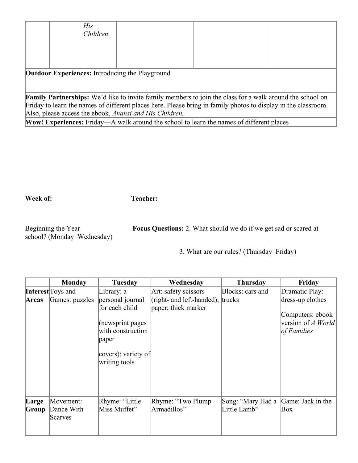| His<br> Children                                       |                                                                                                                  |  |
|--------------------------------------------------------|------------------------------------------------------------------------------------------------------------------|--|
|                                                        |                                                                                                                  |  |
| <b>Outdoor Experiences:</b> Introducing the Playground |                                                                                                                  |  |
|                                                        |                                                                                                                  |  |
|                                                        | <b>Family Partnerships:</b> We'd like to invite family members to join the class for a walk around the school on |  |
|                                                        | Friday to learn the names of different places here. Please bring in family photos to display in the classroom.   |  |
|                                                        | Also, please access the ebook, Anansi and His Children.                                                          |  |

**Wow! Experiences:** Friday—A walk around the school to learn the names of different places

## **Week of: Teacher:**

school? (Monday–Wednesday)

Beginning the Year **Focus Questions:** 2. What should we do if we get sad or scared at

3. What are our rules? (Thursday–Friday)

|       | <b>Monday</b>     | Tuesday             | Wednesday                            | <b>Thursday</b>   | Friday             |
|-------|-------------------|---------------------|--------------------------------------|-------------------|--------------------|
|       | Interest Toys and | Library: a          | Art: safety scissors                 | Blocks: cars and  | Dramatic Play:     |
| Areas | Games: puzzles    | personal journal    | (right- and left-handed); $ $ trucks |                   | dress-up clothes   |
|       |                   | for each child      | paper; thick marker                  |                   |                    |
|       |                   |                     |                                      |                   | Computers: ebook   |
|       |                   | (newsprint pages    |                                      |                   | version of A World |
|       |                   | with construction   |                                      |                   | of Families        |
|       |                   | paper               |                                      |                   |                    |
|       |                   | covers); variety of |                                      |                   |                    |
|       |                   | writing tools       |                                      |                   |                    |
|       |                   |                     |                                      |                   |                    |
|       |                   |                     |                                      |                   |                    |
|       |                   |                     |                                      |                   |                    |
|       |                   |                     |                                      |                   |                    |
| Large | Movement:         | Rhyme: "Little      | Rhyme: "Two Plump"                   | Song: "Mary Had a | Game: Jack in the  |
| Group | Dance With        | Miss Muffet"        | Armadillos"                          | Little Lamb"      | Box                |
|       | Scarves           |                     |                                      |                   |                    |
|       |                   |                     |                                      |                   |                    |
|       |                   |                     |                                      |                   |                    |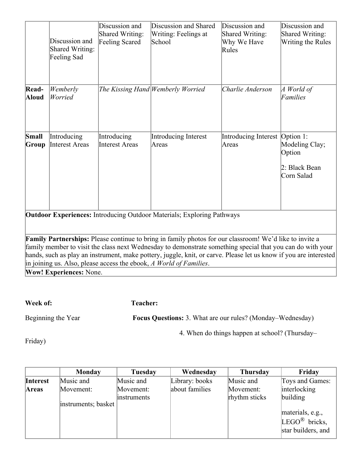|                                                                                                                                                                                                                                                                                                                                                                                                                                                            | Discussion and<br><b>Shared Writing:</b><br>Feeling Sad | Discussion and<br>Shared Writing:<br>Feeling Scared | Discussion and Shared<br>Writing: Feelings at<br>School | Discussion and<br>Shared Writing:<br>Why We Have<br>Rules | Discussion and<br>Shared Writing:<br>Writing the Rules  |
|------------------------------------------------------------------------------------------------------------------------------------------------------------------------------------------------------------------------------------------------------------------------------------------------------------------------------------------------------------------------------------------------------------------------------------------------------------|---------------------------------------------------------|-----------------------------------------------------|---------------------------------------------------------|-----------------------------------------------------------|---------------------------------------------------------|
| Read-<br>Aloud                                                                                                                                                                                                                                                                                                                                                                                                                                             | Wemberly<br>Worried                                     |                                                     | The Kissing Hand Wemberly Worried                       | Charlie Anderson                                          | $A$ World of<br>Families                                |
| Small<br>Group                                                                                                                                                                                                                                                                                                                                                                                                                                             | Introducing<br><b>Interest Areas</b>                    | Introducing<br><b>Interest Areas</b>                | <b>Introducing Interest</b><br>Areas                    | Introducing Interest   Option 1:<br>Areas                 | Modeling Clay;<br>Option<br>2: Black Bean<br>Corn Salad |
| <b>Outdoor Experiences:</b> Introducing Outdoor Materials; Exploring Pathways                                                                                                                                                                                                                                                                                                                                                                              |                                                         |                                                     |                                                         |                                                           |                                                         |
| Family Partnerships: Please continue to bring in family photos for our classroom! We'd like to invite a<br>family member to visit the class next Wednesday to demonstrate something special that you can do with your<br>hands, such as play an instrument, make pottery, juggle, knit, or carve. Please let us know if you are interested<br>in joining us. Also, please access the ebook, $\Lambda$ World of Families.<br><b>Wow! Experiences: None.</b> |                                                         |                                                     |                                                         |                                                           |                                                         |

**Week of: Teacher:** 

Beginning the Year **Focus Questions:** 3. What are our rules? (Monday–Wednesday)

4. When do things happen at school? (Thursday–

Friday)

|                 | <b>Monday</b>       | <b>Tuesday</b> | Wednesday      | <b>Thursday</b> | Friday                    |
|-----------------|---------------------|----------------|----------------|-----------------|---------------------------|
| <b>Interest</b> | Music and           | Music and      | Library: books | Music and       | Toys and Games:           |
| Areas           | Movement:           | Movement:      | about families | Movement:       | interlocking              |
|                 |                     | instruments    |                | rhythm sticks   | building                  |
|                 | instruments; basket |                |                |                 |                           |
|                 |                     |                |                |                 | materials, e.g.,          |
|                 |                     |                |                |                 | LEGO <sup>®</sup> bricks, |
|                 |                     |                |                |                 | star builders, and        |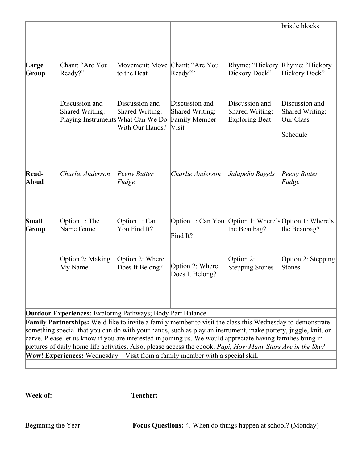|                |                                                                                                                                                                                                                                                                                                                                                                                                                                                          |                                                      |                                                                           |                                                            | bristle blocks                                             |
|----------------|----------------------------------------------------------------------------------------------------------------------------------------------------------------------------------------------------------------------------------------------------------------------------------------------------------------------------------------------------------------------------------------------------------------------------------------------------------|------------------------------------------------------|---------------------------------------------------------------------------|------------------------------------------------------------|------------------------------------------------------------|
| Large<br>Group | Chant: "Are You<br>Ready?"                                                                                                                                                                                                                                                                                                                                                                                                                               | Movement: Move Chant: "Are You<br>to the Beat        | Ready?"                                                                   | Rhyme: "Hickory<br>Dickory Dock"                           | Rhyme: "Hickory<br>Dickory Dock"                           |
|                | Discussion and<br>Shared Writing:<br>Playing Instruments What Can We Do                                                                                                                                                                                                                                                                                                                                                                                  | Discussion and<br>Shared Writing:<br>With Our Hands? | Discussion and<br>Shared Writing:<br><b>Family Member</b><br><b>Visit</b> | Discussion and<br>Shared Writing:<br><b>Exploring Beat</b> | Discussion and<br>Shared Writing:<br>Our Class<br>Schedule |
| Read-<br>Aloud | Charlie Anderson                                                                                                                                                                                                                                                                                                                                                                                                                                         | Peeny Butter<br>Fudge                                | Charlie Anderson                                                          | Jalapeño Bagels                                            | Peeny Butter<br>Fudge                                      |
| Small<br>Group | Option 1: The<br>Name Game                                                                                                                                                                                                                                                                                                                                                                                                                               | Option 1: Can<br>You Find It?                        | Option 1: Can You   Option 1: Where's   Option 1: Where's<br>Find It?     | the Beanbag?                                               | the Beanbag?                                               |
|                | Option 2: Making<br>My Name                                                                                                                                                                                                                                                                                                                                                                                                                              | Option 2: Where<br>Does It Belong?                   | Option 2: Where<br>Does It Belong?                                        | Option 2:<br><b>Stepping Stones</b>                        | Option 2: Stepping<br>Stones                               |
|                | <b>Outdoor Experiences:</b> Exploring Pathways; Body Part Balance                                                                                                                                                                                                                                                                                                                                                                                        |                                                      |                                                                           |                                                            |                                                            |
|                | Family Partnerships: We'd like to invite a family member to visit the class this Wednesday to demonstrate<br>something special that you can do with your hands, such as play an instrument, make pottery, juggle, knit, or<br>carve. Please let us know if you are interested in joining us. We would appreciate having families bring in<br>pictures of daily home life activities. Also, please access the ebook, Papi, How Many Stars Are in the Sky? |                                                      |                                                                           |                                                            |                                                            |
|                | Wow! Experiences: Wednesday—Visit from a family member with a special skill                                                                                                                                                                                                                                                                                                                                                                              |                                                      |                                                                           |                                                            |                                                            |

**Week of: Teacher:**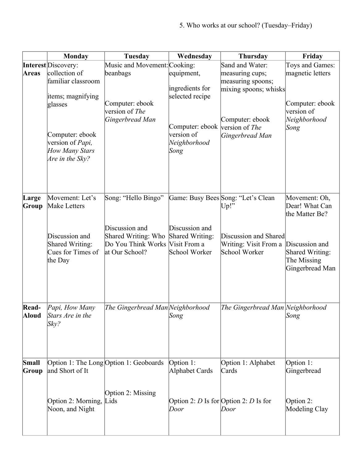|              | <b>Monday</b>              | <b>Tuesday</b>                            | Wednesday                       | <b>Thursday</b>                       | Friday           |
|--------------|----------------------------|-------------------------------------------|---------------------------------|---------------------------------------|------------------|
|              | <b>Interest</b> Discovery: | Music and Movement: Cooking:              |                                 | Sand and Water:                       | Toys and Games:  |
| <b>Areas</b> | collection of              | beanbags                                  | equipment,                      | measuring cups;                       | magnetic letters |
|              | familiar classroom         |                                           |                                 | measuring spoons;                     |                  |
|              |                            |                                           | ingredients for                 | mixing spoons; whisks                 |                  |
|              | items; magnifying          |                                           | selected recipe                 |                                       |                  |
|              | glasses                    | Computer: ebook                           |                                 |                                       | Computer: ebook  |
|              |                            | version of The                            |                                 |                                       | version of       |
|              |                            | Gingerbread Man                           |                                 | Computer: ebook                       | Neighborhood     |
|              |                            |                                           | Computer: ebook                 | version of <i>The</i>                 | Song             |
|              | Computer: ebook            |                                           | version of                      | Gingerbread Man                       |                  |
|              | version of <i>Papi</i> ,   |                                           | Neighborhood                    |                                       |                  |
|              | <b>How Many Stars</b>      |                                           | Song                            |                                       |                  |
|              | Are in the Sky?            |                                           |                                 |                                       |                  |
|              |                            |                                           |                                 |                                       |                  |
|              |                            |                                           |                                 |                                       |                  |
|              |                            |                                           |                                 |                                       |                  |
| Large        | Movement: Let's            | Song: "Hello Bingo"                       |                                 | Game: Busy Bees Song: "Let's Clean    | Movement: Oh,    |
| Group        | Make Letters               |                                           |                                 | Up!                                   | Dear! What Can   |
|              |                            |                                           |                                 |                                       | the Matter Be?   |
|              |                            |                                           |                                 |                                       |                  |
|              | Discussion and             | Discussion and                            | Discussion and                  | Discussion and Shared                 |                  |
|              | Shared Writing:            | Shared Writing: Who<br>Do You Think Works | Shared Writing:<br>Visit From a | Writing: Visit From a                 | Discussion and   |
|              | Cues for Times of          | at Our School?                            | School Worker                   | School Worker                         | Shared Writing:  |
|              | the Day                    |                                           |                                 |                                       | The Missing      |
|              |                            |                                           |                                 |                                       | Gingerbread Man  |
|              |                            |                                           |                                 |                                       |                  |
|              |                            |                                           |                                 |                                       |                  |
|              |                            |                                           |                                 |                                       |                  |
| Read-        | Papi, How Many             | The Gingerbread Man Neighborhood          |                                 | The Gingerbread Man Neighborhood      |                  |
| Aloud        | Stars Are in the           |                                           | Song                            |                                       | Song             |
|              | Sky?                       |                                           |                                 |                                       |                  |
|              |                            |                                           |                                 |                                       |                  |
|              |                            |                                           |                                 |                                       |                  |
|              |                            |                                           |                                 |                                       |                  |
| Small        |                            | Option 1: The Long Option 1: Geoboards    | Option 1:                       | Option 1: Alphabet                    | Option 1:        |
| Group        | and Short of It            |                                           | Alphabet Cards                  | Cards                                 | Gingerbread      |
|              |                            |                                           |                                 |                                       |                  |
|              |                            |                                           |                                 |                                       |                  |
|              |                            | Option 2: Missing                         |                                 |                                       |                  |
|              | Option 2: Morning, Lids    |                                           |                                 | Option 2: D Is for Option 2: D Is for | Option 2:        |
|              | Noon, and Night            |                                           | Door                            | Door                                  | Modeling Clay    |
|              |                            |                                           |                                 |                                       |                  |
|              |                            |                                           |                                 |                                       |                  |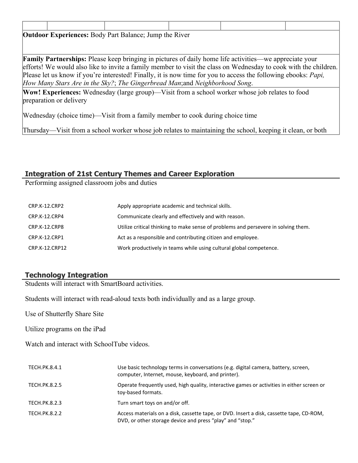| <b>Outdoor Experiences:</b> Body Part Balance; Jump the River                                                    |                                                                             |  |                                                                                                               |  |  |
|------------------------------------------------------------------------------------------------------------------|-----------------------------------------------------------------------------|--|---------------------------------------------------------------------------------------------------------------|--|--|
|                                                                                                                  |                                                                             |  |                                                                                                               |  |  |
|                                                                                                                  |                                                                             |  |                                                                                                               |  |  |
|                                                                                                                  |                                                                             |  | <b>Family Partnerships:</b> Please keep bringing in pictures of daily home life activities—we appreciate your |  |  |
| efforts! We would also like to invite a family member to visit the class on Wednesday to cook with the children. |                                                                             |  |                                                                                                               |  |  |
| Please let us know if you're interested! Finally, it is now time for you to access the following ebooks: Papi,   |                                                                             |  |                                                                                                               |  |  |
|                                                                                                                  | How Many Stars Are in the Sky?; The Gingerbread Man; and Neighborhood Song. |  |                                                                                                               |  |  |
|                                                                                                                  |                                                                             |  | Wow! Experiences: Wednesday (large group)—Visit from a school worker whose job relates to food                |  |  |
| preparation or delivery                                                                                          |                                                                             |  |                                                                                                               |  |  |
|                                                                                                                  |                                                                             |  |                                                                                                               |  |  |

Wednesday (choice time)—Visit from a family member to cook during choice time

Thursday—Visit from a school worker whose job relates to maintaining the school, keeping it clean, or both

## **Integration of 21st Century Themes and Career Exploration**

Performing assigned classroom jobs and duties

| CRP.K-12.CRP2  | Apply appropriate academic and technical skills.                                   |
|----------------|------------------------------------------------------------------------------------|
| CRP.K-12.CRP4  | Communicate clearly and effectively and with reason.                               |
| CRP.K-12.CRP8  | Utilize critical thinking to make sense of problems and persevere in solving them. |
| CRP.K-12.CRP1  | Act as a responsible and contributing citizen and employee.                        |
| CRP.K-12.CRP12 | Work productively in teams while using cultural global competence.                 |
|                |                                                                                    |

## **Technology Integration**

Students will interact with SmartBoard activities.

Students will interact with read-aloud texts both individually and as a large group.

Use of Shutterfly Share Site

Utilize programs on the iPad

Watch and interact with SchoolTube videos.

| TECH.PK.8.4.1        | Use basic technology terms in conversations (e.g. digital camera, battery, screen,<br>computer, Internet, mouse, keyboard, and printer).              |
|----------------------|-------------------------------------------------------------------------------------------------------------------------------------------------------|
| <b>TECH.PK.8.2.5</b> | Operate frequently used, high quality, interactive games or activities in either screen or<br>toy-based formats.                                      |
| TECH.PK.8.2.3        | Turn smart toys on and/or off.                                                                                                                        |
| TECH.PK.8.2.2        | Access materials on a disk, cassette tape, or DVD. Insert a disk, cassette tape, CD-ROM,<br>DVD, or other storage device and press "play" and "stop." |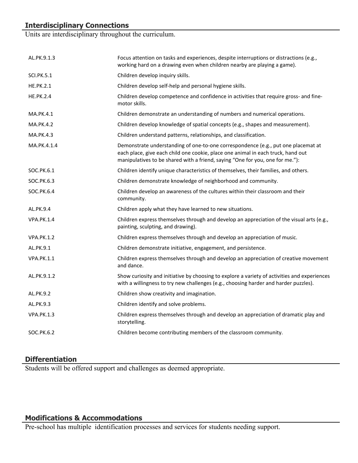# **Interdisciplinary Connections**

Units are interdisciplinary throughout the curriculum.

| AL.PK.9.1.3       | Focus attention on tasks and experiences, despite interruptions or distractions (e.g.,<br>working hard on a drawing even when children nearby are playing a game).                                                                                     |
|-------------------|--------------------------------------------------------------------------------------------------------------------------------------------------------------------------------------------------------------------------------------------------------|
| <b>SCI.PK.5.1</b> | Children develop inquiry skills.                                                                                                                                                                                                                       |
| <b>HE.PK.2.1</b>  | Children develop self-help and personal hygiene skills.                                                                                                                                                                                                |
| <b>HE.PK.2.4</b>  | Children develop competence and confidence in activities that require gross- and fine-<br>motor skills.                                                                                                                                                |
| <b>MA.PK.4.1</b>  | Children demonstrate an understanding of numbers and numerical operations.                                                                                                                                                                             |
| <b>MA.PK.4.2</b>  | Children develop knowledge of spatial concepts (e.g., shapes and measurement).                                                                                                                                                                         |
| MA.PK.4.3         | Children understand patterns, relationships, and classification.                                                                                                                                                                                       |
| MA.PK.4.1.4       | Demonstrate understanding of one-to-one correspondence (e.g., put one placemat at<br>each place, give each child one cookie, place one animal in each truck, hand out<br>manipulatives to be shared with a friend, saying "One for you, one for me."): |
| SOC.PK.6.1        | Children identify unique characteristics of themselves, their families, and others.                                                                                                                                                                    |
| SOC.PK.6.3        | Children demonstrate knowledge of neighborhood and community.                                                                                                                                                                                          |
| SOC.PK.6.4        | Children develop an awareness of the cultures within their classroom and their<br>community.                                                                                                                                                           |
| AL.PK.9.4         | Children apply what they have learned to new situations.                                                                                                                                                                                               |
| <b>VPA.PK.1.4</b> | Children express themselves through and develop an appreciation of the visual arts (e.g.,<br>painting, sculpting, and drawing).                                                                                                                        |
| <b>VPA.PK.1.2</b> | Children express themselves through and develop an appreciation of music.                                                                                                                                                                              |
| AL.PK.9.1         | Children demonstrate initiative, engagement, and persistence.                                                                                                                                                                                          |
| <b>VPA.PK.1.1</b> | Children express themselves through and develop an appreciation of creative movement<br>and dance.                                                                                                                                                     |
| AL.PK.9.1.2       | Show curiosity and initiative by choosing to explore a variety of activities and experiences<br>with a willingness to try new challenges (e.g., choosing harder and harder puzzles).                                                                   |
| AL.PK.9.2         | Children show creativity and imagination.                                                                                                                                                                                                              |
| AL.PK.9.3         | Children identify and solve problems.                                                                                                                                                                                                                  |
| <b>VPA.PK.1.3</b> | Children express themselves through and develop an appreciation of dramatic play and<br>storytelling.                                                                                                                                                  |
| SOC.PK.6.2        | Children become contributing members of the classroom community.                                                                                                                                                                                       |

### **Differentiation**

Students will be offered support and challenges as deemed appropriate.

## **Modifications & Accommodations**

Pre-school has multiple identification processes and services for students needing support.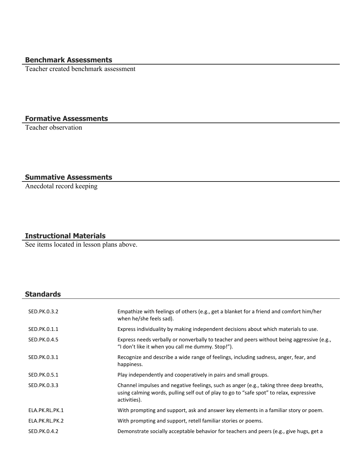# **Benchmark Assessments**

Teacher created benchmark assessment

## **Formative Assessments**

Teacher observation

### **Summative Assessments**

Anecdotal record keeping

## **Instructional Materials**

See items located in lesson plans above.

# **Standards**

| SED.PK.0.3.2   | Empathize with feelings of others (e.g., get a blanket for a friend and comfort him/her<br>when he/she feels sad).                                                                                 |
|----------------|----------------------------------------------------------------------------------------------------------------------------------------------------------------------------------------------------|
| SED.PK.0.1.1   | Express individuality by making independent decisions about which materials to use.                                                                                                                |
| SED.PK.0.4.5   | Express needs verbally or nonverbally to teacher and peers without being aggressive (e.g.,<br>"I don't like it when you call me dummy. Stop!").                                                    |
| SED.PK.0.3.1   | Recognize and describe a wide range of feelings, including sadness, anger, fear, and<br>happiness.                                                                                                 |
| SED.PK.0.5.1   | Play independently and cooperatively in pairs and small groups.                                                                                                                                    |
| SED.PK.0.3.3   | Channel impulses and negative feelings, such as anger (e.g., taking three deep breaths,<br>using calming words, pulling self out of play to go to "safe spot" to relax, expressive<br>activities). |
| ELA.PK.RL.PK.1 | With prompting and support, ask and answer key elements in a familiar story or poem.                                                                                                               |
| ELA.PK.RL.PK.2 | With prompting and support, retell familiar stories or poems.                                                                                                                                      |
| SED.PK.0.4.2   | Demonstrate socially acceptable behavior for teachers and peers (e.g., give hugs, get a                                                                                                            |